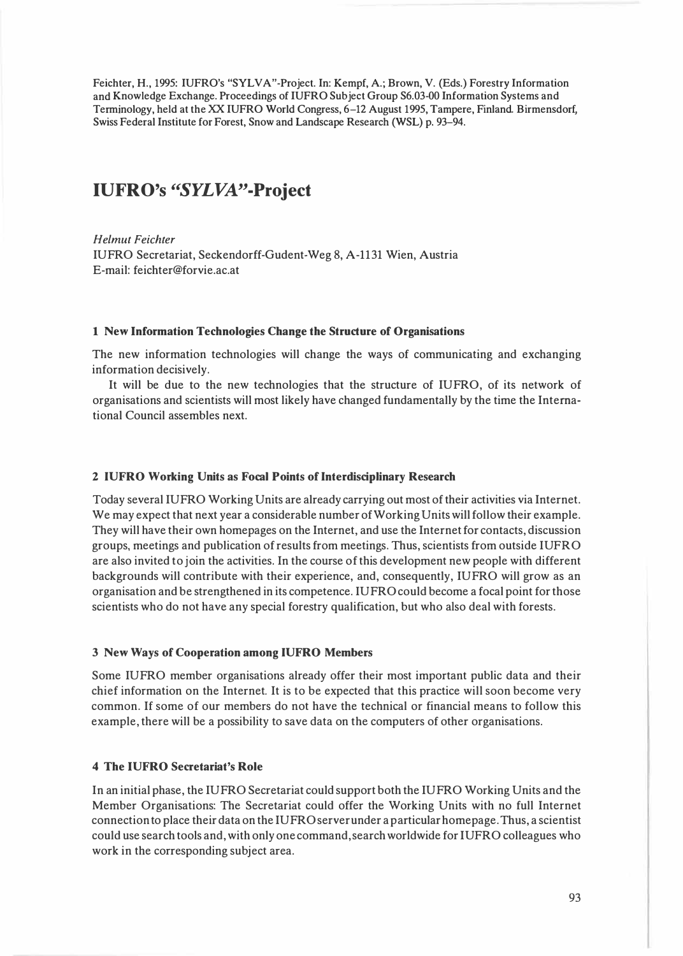**Feichter, H., 1995: IUFRO's "SYLVA"-Project. In: Kempf, A.; Brown, V. (Eds.) Forestry Information and Knowledge Exchange. Proceedings of IUFRO Subject Group S6.03-00 Information Systems and Terminology, held at the XX IUFRO World Congress, 6-12 August 1995, Tampere, Finland Birmensdorf, Swiss Federal Institute for Forest, Snow and Landscape Research (WSL) p. 93-94.** 

# **IUFRO's "SYLVA"-Project**

*Helmut Feichter*  **IUFRO Secretariat, Seckendorff-Gudent-Weg 8, A-1131 Wien, Austria E-mail: feichter@forvie.ac.at** 

## **1 New Information Technologies Change the Structure of Organisations**

**The new information technologies will change the ways of communicating and exchanging information decisively.** 

**It will be due to the new technologies that the structure of IUFRO, of its network of organisations and scientists will most likely have changed fundamentally by the time the International Council assembles next.** 

#### **2 IUFRO Working Units as Focal Points of Interdisciplinary Research**

**Today several IUFRO Working Units are already carrying out most of their activities via Internet. We may expect that next year a considerable number of Working Units will follow their example. They will have their own homepages on the Internet, and use the Internet for contacts, discussion groups, meetings and publication of results from meetings. Thus, scientists from outside IUFRO are also invited to join the activities. In the course of this development new people with different backgrounds will contribute with their experience, and, consequently, IUFRO will grow as an organisation and be strengthened in its competence. IUFRO could become a focal point for those scientists who do not have any special forestry qualification, but who also deal with forests.** 

## **3 New Ways of Cooperation among IUFRO Members**

**Some IUFRO member organisations already offer their most important public data and their chief information on the Internet. It is to be expected that this practice will soon become very common. If some of our members do not have the technical or financial means to follow this example, there will be a possibility to save data on the computers of other organisations.** 

## **4 The IUFRO Secretariat's Role**

**In an initial phase, the IUFRO Secretariat could support both the IUFRO Working Units and the Member Organisations: The Secretariat could offer the Working Units with no full Internet connection to place their data on the IUFRO server under a particular homepage. Thus, a scientist could use search tools and, with only one command, search worldwide for IUFRO colleagues who work in the corresponding subject area.**